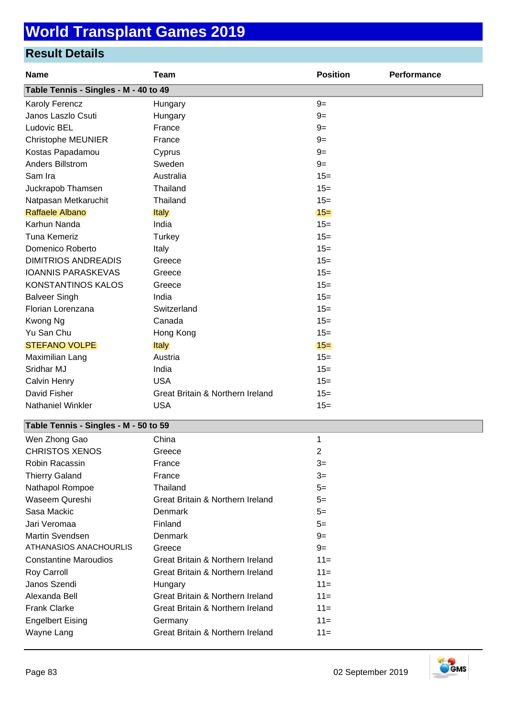## **World Transplant Games 2019**

## **Result Details**

| <b>Name</b>                           | <b>Team</b>                      | <b>Position</b> | Performance |  |  |
|---------------------------------------|----------------------------------|-----------------|-------------|--|--|
| Table Tennis - Singles - M - 40 to 49 |                                  |                 |             |  |  |
| <b>Karoly Ferencz</b>                 | Hungary                          | $9=$            |             |  |  |
| Janos Laszlo Csuti                    | Hungary                          | $9=$            |             |  |  |
| Ludovic BEL                           | France                           | $9=$            |             |  |  |
| <b>Christophe MEUNIER</b>             | France                           | $9=$            |             |  |  |
| Kostas Papadamou                      | Cyprus                           | $9=$            |             |  |  |
| <b>Anders Billstrom</b>               | Sweden                           | $9=$            |             |  |  |
| Sam Ira                               | Australia                        | $15=$           |             |  |  |
| Juckrapob Thamsen                     | Thailand                         | $15=$           |             |  |  |
| Natpasan Metkaruchit                  | Thailand                         | $15=$           |             |  |  |
| <b>Raffaele Albano</b>                | <b>Italy</b>                     | $15=$           |             |  |  |
| Karhun Nanda                          | India                            | $15=$           |             |  |  |
| <b>Tuna Kemeriz</b>                   | Turkey                           | $15=$           |             |  |  |
| Domenico Roberto                      | Italy                            | $15=$           |             |  |  |
| <b>DIMITRIOS ANDREADIS</b>            | Greece                           | $15=$           |             |  |  |
| <b>IOANNIS PARASKEVAS</b>             | Greece                           | $15=$           |             |  |  |
| KONSTANTINOS KALOS                    | Greece                           | $15=$           |             |  |  |
| <b>Balveer Singh</b>                  | India                            | $15=$           |             |  |  |
| Florian Lorenzana                     | Switzerland                      | $15=$           |             |  |  |
| Kwong Ng                              | Canada                           | $15=$           |             |  |  |
| Yu San Chu                            | Hong Kong                        | $15=$           |             |  |  |
| <b>STEFANO VOLPE</b>                  | <b>Italy</b>                     | $15=$           |             |  |  |
| Maximilian Lang                       | Austria                          | $15=$           |             |  |  |
| Sridhar MJ                            | India                            | $15=$           |             |  |  |
| Calvin Henry                          | <b>USA</b>                       | $15=$           |             |  |  |
| David Fisher                          | Great Britain & Northern Ireland | $15=$           |             |  |  |
| <b>Nathaniel Winkler</b>              | <b>USA</b>                       | $15 =$          |             |  |  |

#### **Table Tennis - Singles - M - 50 to 59**

| Wen Zhong Gao                | China                            | 1      |
|------------------------------|----------------------------------|--------|
| <b>CHRISTOS XENOS</b>        | Greece                           | 2      |
| Robin Racassin               | France                           | $3=$   |
| <b>Thierry Galand</b>        | France                           | $3=$   |
| Nathapol Rompoe              | Thailand                         | $5=$   |
| Waseem Qureshi               | Great Britain & Northern Ireland | $5=$   |
| Sasa Mackic                  | <b>Denmark</b>                   | $5=$   |
| Jari Veromaa                 | Finland                          | $5=$   |
| Martin Svendsen              | Denmark                          | $9=$   |
| ATHANASIOS ANACHOURLIS       | Greece                           | $9=$   |
| <b>Constantine Maroudios</b> | Great Britain & Northern Ireland | $11 =$ |
| Roy Carroll                  | Great Britain & Northern Ireland | $11 =$ |
| Janos Szendi                 | Hungary                          | $11 =$ |
| Alexanda Bell                | Great Britain & Northern Ireland | $11 =$ |
| <b>Frank Clarke</b>          | Great Britain & Northern Ireland | $11 =$ |
| <b>Engelbert Eising</b>      | Germany                          | $11 =$ |
| Wayne Lang                   | Great Britain & Northern Ireland | $11 =$ |
|                              |                                  |        |